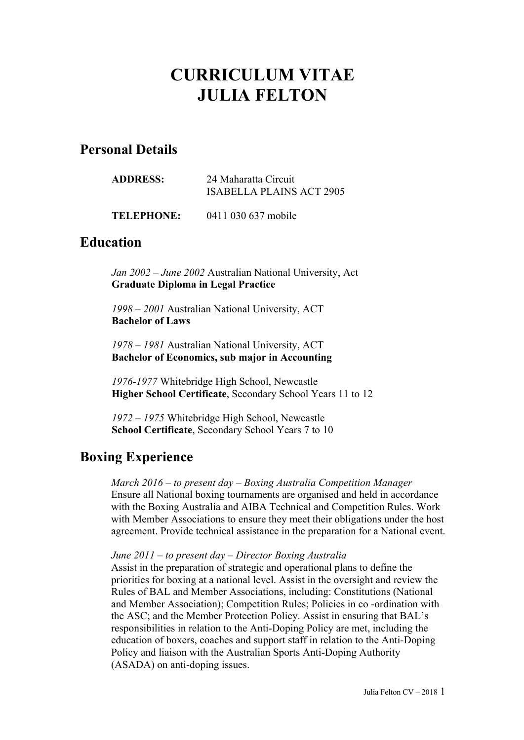# **CURRICULUM VITAE JULIA FELTON**

## **Personal Details**

| <b>ADDRESS:</b>   | 24 Maharatta Circuit<br>ISABELLA PLAINS ACT 2905 |
|-------------------|--------------------------------------------------|
| <b>TELEPHONE:</b> | 0411 030 637 mobile                              |

## **Education**

*Jan 2002 – June 2002* Australian National University, Act **Graduate Diploma in Legal Practice**

*1998 – 2001* Australian National University, ACT **Bachelor of Laws**

*1978 – 1981* Australian National University, ACT **Bachelor of Economics, sub major in Accounting** 

*1976-1977* Whitebridge High School, Newcastle **Higher School Certificate**, Secondary School Years 11 to 12

*1972 – 1975* Whitebridge High School, Newcastle **School Certificate**, Secondary School Years 7 to 10

## **Boxing Experience**

*March 2016 – to present day – Boxing Australia Competition Manager* Ensure all National boxing tournaments are organised and held in accordance with the Boxing Australia and AIBA Technical and Competition Rules. Work with Member Associations to ensure they meet their obligations under the host agreement. Provide technical assistance in the preparation for a National event.

#### *June 2011 – to present day – Director Boxing Australia*

Assist in the preparation of strategic and operational plans to define the priorities for boxing at a national level. Assist in the oversight and review the Rules of BAL and Member Associations, including: Constitutions (National and Member Association); Competition Rules; Policies in co -ordination with the ASC; and the Member Protection Policy. Assist in ensuring that BAL's responsibilities in relation to the Anti-Doping Policy are met, including the education of boxers, coaches and support staff in relation to the Anti-Doping Policy and liaison with the Australian Sports Anti-Doping Authority (ASADA) on anti-doping issues.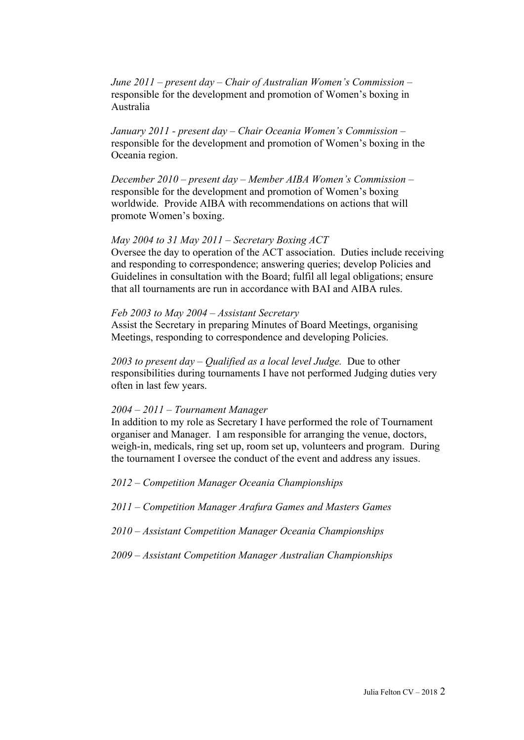*June 2011 – present day – Chair of Australian Women's Commission –* responsible for the development and promotion of Women's boxing in Australia

*January 2011 - present day – Chair Oceania Women's Commission –* responsible for the development and promotion of Women's boxing in the Oceania region.

*December 2010 – present day – Member AIBA Women's Commission –* responsible for the development and promotion of Women's boxing worldwide. Provide AIBA with recommendations on actions that will promote Women's boxing.

#### *May 2004 to 31 May 2011 – Secretary Boxing ACT*

Oversee the day to operation of the ACT association. Duties include receiving and responding to correspondence; answering queries; develop Policies and Guidelines in consultation with the Board; fulfil all legal obligations; ensure that all tournaments are run in accordance with BAI and AIBA rules.

#### *Feb 2003 to May 2004 – Assistant Secretary*

Assist the Secretary in preparing Minutes of Board Meetings, organising Meetings, responding to correspondence and developing Policies.

*2003 to present day – Qualified as a local level Judge.* Due to other responsibilities during tournaments I have not performed Judging duties very often in last few years.

#### *2004 – 2011 – Tournament Manager*

In addition to my role as Secretary I have performed the role of Tournament organiser and Manager. I am responsible for arranging the venue, doctors, weigh-in, medicals, ring set up, room set up, volunteers and program. During the tournament I oversee the conduct of the event and address any issues.

*2012 – Competition Manager Oceania Championships*

*2011 – Competition Manager Arafura Games and Masters Games* 

- *2010 – Assistant Competition Manager Oceania Championships*
- *2009 – Assistant Competition Manager Australian Championships*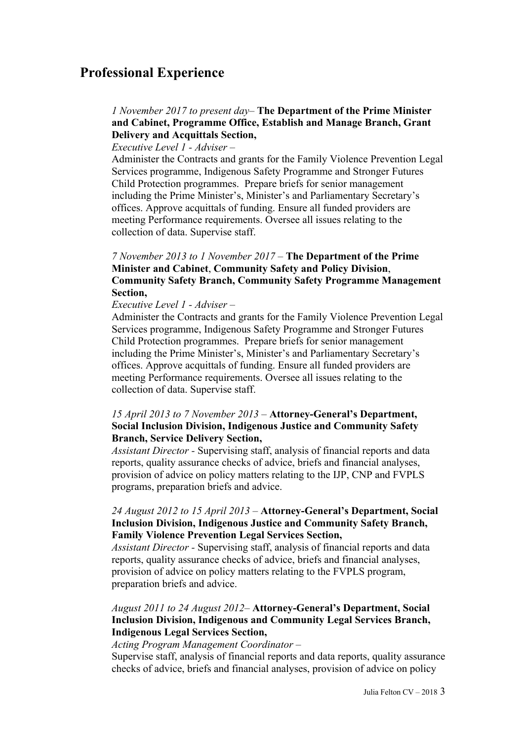## **Professional Experience**

### *1 November 2017 to present day*– **The Department of the Prime Minister and Cabinet, Programme Office, Establish and Manage Branch, Grant Delivery and Acquittals Section,**

*Executive Level 1 - Adviser –*

Administer the Contracts and grants for the Family Violence Prevention Legal Services programme, Indigenous Safety Programme and Stronger Futures Child Protection programmes. Prepare briefs for senior management including the Prime Minister's, Minister's and Parliamentary Secretary's offices. Approve acquittals of funding. Ensure all funded providers are meeting Performance requirements. Oversee all issues relating to the collection of data. Supervise staff.

### *7 November 2013 to 1 November 2017* – **The Department of the Prime Minister and Cabinet**, **Community Safety and Policy Division**, **Community Safety Branch, Community Safety Programme Management Section,**

#### *Executive Level 1 - Adviser –*

Administer the Contracts and grants for the Family Violence Prevention Legal Services programme, Indigenous Safety Programme and Stronger Futures Child Protection programmes. Prepare briefs for senior management including the Prime Minister's, Minister's and Parliamentary Secretary's offices. Approve acquittals of funding. Ensure all funded providers are meeting Performance requirements. Oversee all issues relating to the collection of data. Supervise staff.

#### *15 April 2013 to 7 November 2013 –* **Attorney-General's Department, Social Inclusion Division, Indigenous Justice and Community Safety Branch, Service Delivery Section,**

*Assistant Director -* Supervising staff, analysis of financial reports and data reports, quality assurance checks of advice, briefs and financial analyses, provision of advice on policy matters relating to the IJP, CNP and FVPLS programs, preparation briefs and advice.

#### *24 August 2012 to 15 April 2013 –* **Attorney-General's Department, Social Inclusion Division, Indigenous Justice and Community Safety Branch, Family Violence Prevention Legal Services Section,**

*Assistant Director -* Supervising staff, analysis of financial reports and data reports, quality assurance checks of advice, briefs and financial analyses, provision of advice on policy matters relating to the FVPLS program, preparation briefs and advice.

#### *August 2011 to 24 August 2012–* **Attorney-General's Department, Social Inclusion Division, Indigenous and Community Legal Services Branch, Indigenous Legal Services Section,**

#### *Acting Program Management Coordinator –*

Supervise staff, analysis of financial reports and data reports, quality assurance checks of advice, briefs and financial analyses, provision of advice on policy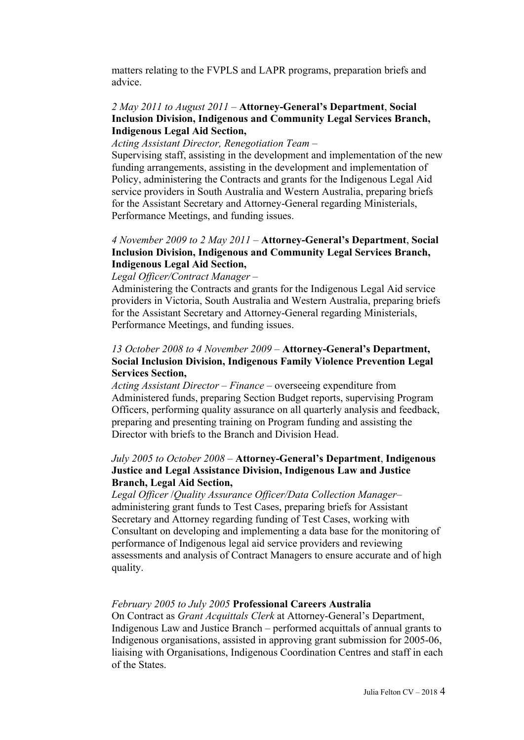matters relating to the FVPLS and LAPR programs, preparation briefs and advice.

#### *2 May 2011 to August 2011* – **Attorney-General's Department**, **Social Inclusion Division, Indigenous and Community Legal Services Branch, Indigenous Legal Aid Section,**

*Acting Assistant Director, Renegotiation Team –*

Supervising staff, assisting in the development and implementation of the new funding arrangements, assisting in the development and implementation of Policy, administering the Contracts and grants for the Indigenous Legal Aid service providers in South Australia and Western Australia, preparing briefs for the Assistant Secretary and Attorney-General regarding Ministerials, Performance Meetings, and funding issues.

#### *4 November 2009 to 2 May 2011* – **Attorney-General's Department**, **Social Inclusion Division, Indigenous and Community Legal Services Branch, Indigenous Legal Aid Section,**

#### *Legal Officer/Contract Manager –*

Administering the Contracts and grants for the Indigenous Legal Aid service providers in Victoria, South Australia and Western Australia, preparing briefs for the Assistant Secretary and Attorney-General regarding Ministerials, Performance Meetings, and funding issues.

#### *13 October 2008 to 4 November 2009 –* **Attorney-General's Department, Social Inclusion Division, Indigenous Family Violence Prevention Legal Services Section,**

*Acting Assistant Director – Finance –* overseeing expenditure from Administered funds, preparing Section Budget reports, supervising Program Officers, performing quality assurance on all quarterly analysis and feedback, preparing and presenting training on Program funding and assisting the Director with briefs to the Branch and Division Head.

#### *July 2005 to October 2008* – **Attorney-General's Department**, **Indigenous Justice and Legal Assistance Division, Indigenous Law and Justice Branch, Legal Aid Section,**

*Legal Officer* /*Quality Assurance Officer/Data Collection Manager*– administering grant funds to Test Cases, preparing briefs for Assistant Secretary and Attorney regarding funding of Test Cases, working with Consultant on developing and implementing a data base for the monitoring of performance of Indigenous legal aid service providers and reviewing assessments and analysis of Contract Managers to ensure accurate and of high quality.

#### *February 2005 to July 2005* **Professional Careers Australia**

On Contract as *Grant Acquittals Clerk* at Attorney-General's Department, Indigenous Law and Justice Branch – performed acquittals of annual grants to Indigenous organisations, assisted in approving grant submission for 2005-06, liaising with Organisations, Indigenous Coordination Centres and staff in each of the States.